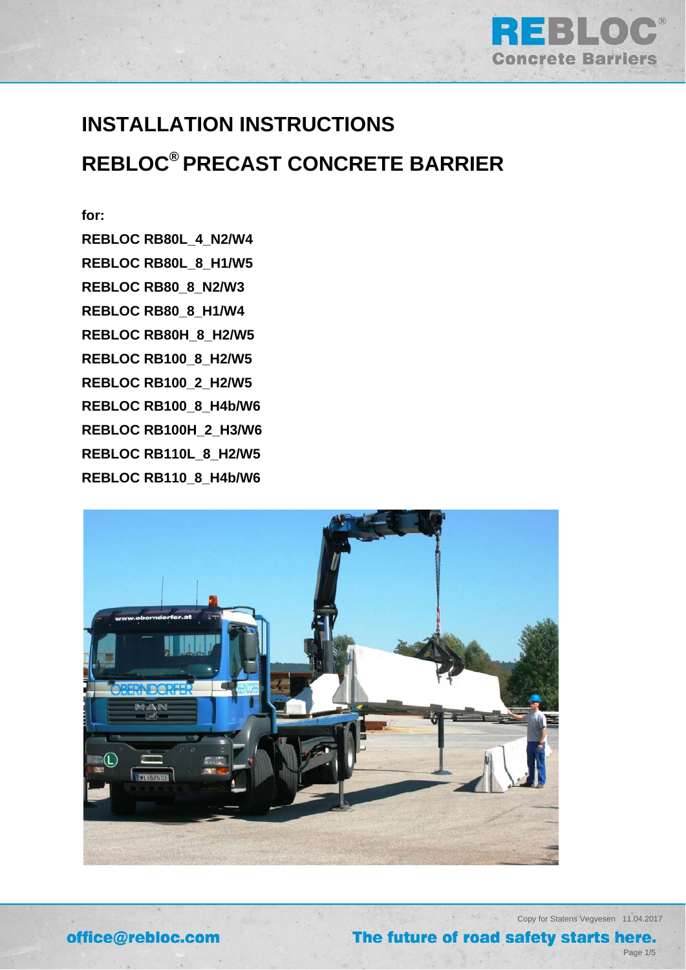

# **INSTALLATION INSTRUCTIONS REBLOC® PRECAST CONCRETE BARRIER**

# **for:**

**REBLOC RB80L\_4\_N2/W4 REBLOC RB80L\_8\_H1/W5 REBLOC RB80\_8\_N2/W3 REBLOC RB80\_8\_H1/W4 REBLOC RB80H\_8\_H2/W5 REBLOC RB100\_8\_H2/W5 REBLOC RB100\_2\_H2/W5 REBLOC RB100\_8\_H4b/W6 REBLOC RB100H\_2\_H3/W6 REBLOC RB110L\_8\_H2/W5 REBLOC RB110\_8\_H4b/W6** 



Copy for Statens Vegvesen 11.04.2017

# The future of road safety starts here.

Page 1/5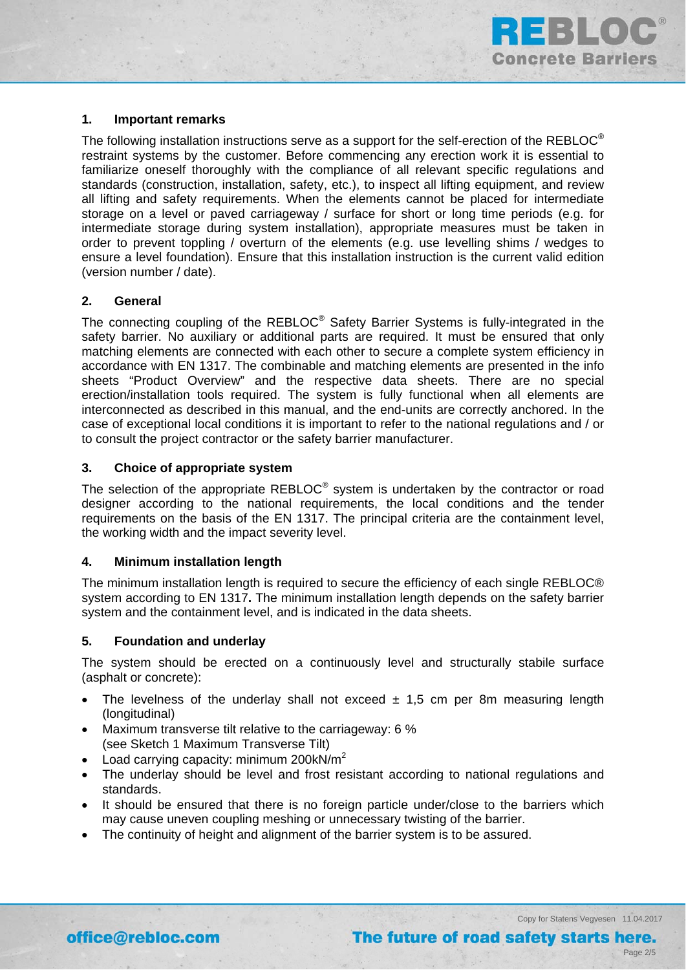

# **1. Important remarks**

The following installation instructions serve as a support for the self-erection of the REBLOC<sup>®</sup> restraint systems by the customer. Before commencing any erection work it is essential to familiarize oneself thoroughly with the compliance of all relevant specific regulations and standards (construction, installation, safety, etc.), to inspect all lifting equipment, and review all lifting and safety requirements. When the elements cannot be placed for intermediate storage on a level or paved carriageway / surface for short or long time periods (e.g. for intermediate storage during system installation), appropriate measures must be taken in order to prevent toppling / overturn of the elements (e.g. use levelling shims / wedges to ensure a level foundation). Ensure that this installation instruction is the current valid edition (version number / date).

### **2. General**

The connecting coupling of the REBLOC® Safety Barrier Systems is fully-integrated in the safety barrier. No auxiliary or additional parts are required. It must be ensured that only matching elements are connected with each other to secure a complete system efficiency in accordance with EN 1317. The combinable and matching elements are presented in the info sheets "Product Overview" and the respective data sheets. There are no special erection/installation tools required. The system is fully functional when all elements are interconnected as described in this manual, and the end-units are correctly anchored. In the case of exceptional local conditions it is important to refer to the national regulations and / or to consult the project contractor or the safety barrier manufacturer.

### **3. Choice of appropriate system**

The selection of the appropriate REBLOC<sup>®</sup> system is undertaken by the contractor or road designer according to the national requirements, the local conditions and the tender requirements on the basis of the EN 1317. The principal criteria are the containment level, the working width and the impact severity level.

### **4. Minimum installation length**

The minimum installation length is required to secure the efficiency of each single REBLOC® system according to EN 1317**.** The minimum installation length depends on the safety barrier system and the containment level, and is indicated in the data sheets.

### **5. Foundation and underlay**

The system should be erected on a continuously level and structurally stabile surface (asphalt or concrete):

- The levelness of the underlay shall not exceed  $\pm$  1,5 cm per 8m measuring length (longitudinal)
- Maximum transverse tilt relative to the carriageway: 6 % (see Sketch 1 Maximum Transverse Tilt)
- Load carrying capacity: minimum 200kN/ $m<sup>2</sup>$
- The underlay should be level and frost resistant according to national regulations and standards.
- It should be ensured that there is no foreign particle under/close to the barriers which may cause uneven coupling meshing or unnecessary twisting of the barrier.
- The continuity of height and alignment of the barrier system is to be assured.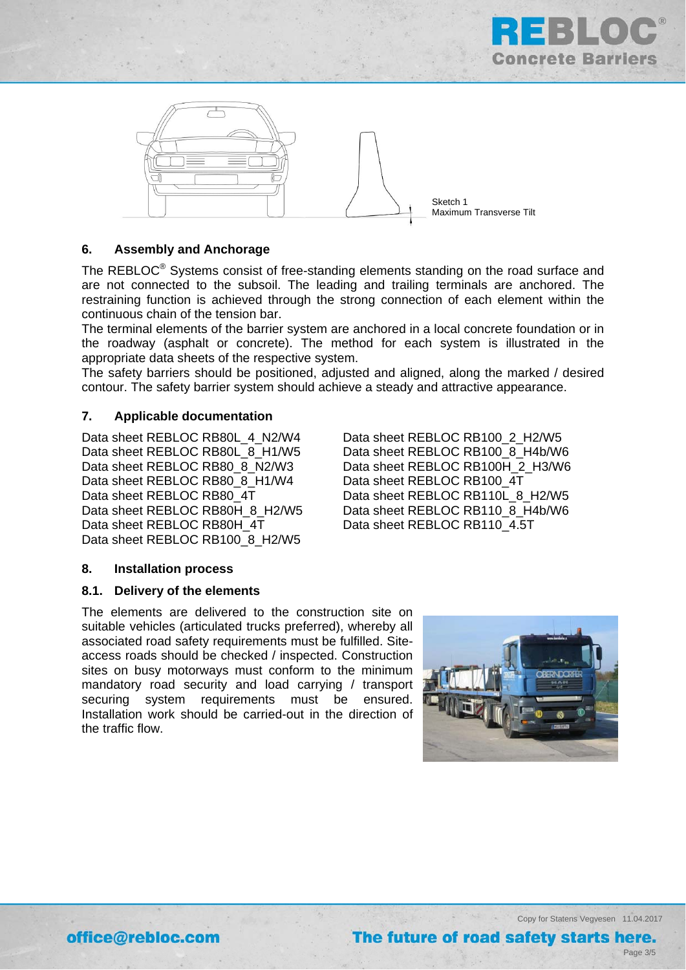



# **6. Assembly and Anchorage**

The REBLOC<sup>®</sup> Systems consist of free-standing elements standing on the road surface and are not connected to the subsoil. The leading and trailing terminals are anchored. The restraining function is achieved through the strong connection of each element within the continuous chain of the tension bar.

The terminal elements of the barrier system are anchored in a local concrete foundation or in the roadway (asphalt or concrete). The method for each system is illustrated in the appropriate data sheets of the respective system.

The safety barriers should be positioned, adjusted and aligned, along the marked / desired contour. The safety barrier system should achieve a steady and attractive appearance.

# **7. Applicable documentation**

Data sheet REBLOC RB80L\_4\_N2/W4 Data sheet REBLOC RB100\_2\_H2/W5 Data sheet REBLOC RB80 8 H1/W4 Data sheet REBLOC RB100 4T Data sheet REBLOC RB80H 4T Data sheet REBLOC RB110 4.5T Data sheet REBLOC RB100 8 H2/W5

Data sheet REBLOC RB80L\_8\_H1/W5 Data sheet REBLOC RB100\_8\_H4b/W6 Data sheet REBLOC RB80\_8\_N2/W3 Data sheet REBLOC RB100H\_2\_H3/W6 Data sheet REBLOC RB80 4T Data sheet REBLOC RB110L 8 H2/W5 Data sheet REBLOC RB80H 8 H2/W5 Data sheet REBLOC RB110\_8\_H4b/W6

### **8. Installation process**

### **8.1. Delivery of the elements**

The elements are delivered to the construction site on suitable vehicles (articulated trucks preferred), whereby all associated road safety requirements must be fulfilled. Siteaccess roads should be checked / inspected. Construction sites on busy motorways must conform to the minimum mandatory road security and load carrying / transport securing system requirements must be ensured. Installation work should be carried-out in the direction of the traffic flow.



Copy for Statens Vegvesen 11.04.2017 The future of road safety starts here.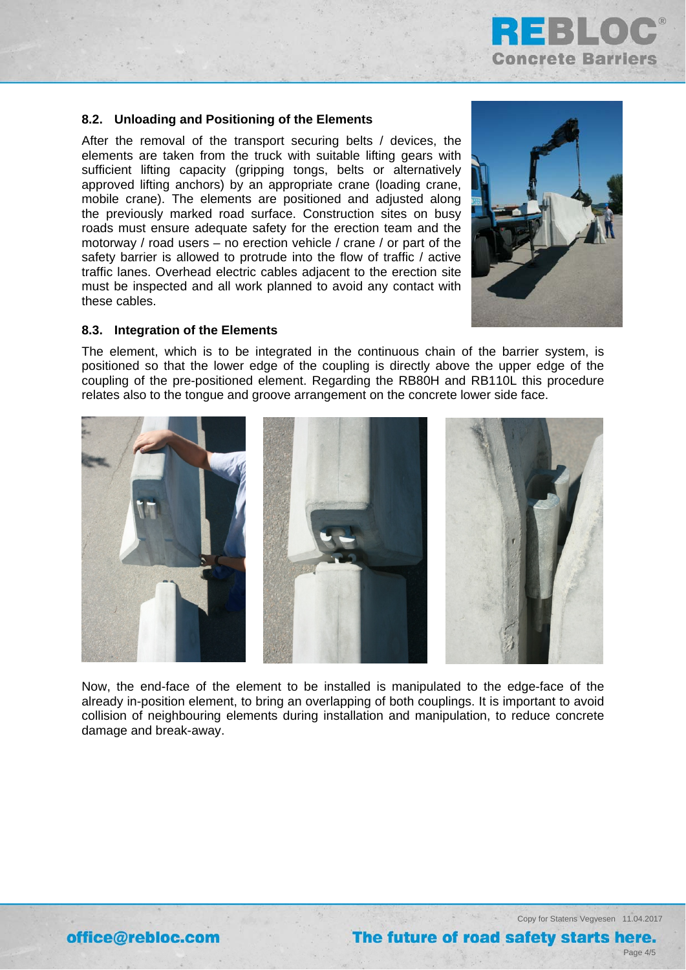

# **8.2. Unloading and Positioning of the Elements**

After the removal of the transport securing belts / devices, the elements are taken from the truck with suitable lifting gears with sufficient lifting capacity (gripping tongs, belts or alternatively approved lifting anchors) by an appropriate crane (loading crane, mobile crane). The elements are positioned and adjusted along the previously marked road surface. Construction sites on busy roads must ensure adequate safety for the erection team and the motorway / road users – no erection vehicle / crane / or part of the safety barrier is allowed to protrude into the flow of traffic / active traffic lanes. Overhead electric cables adjacent to the erection site must be inspected and all work planned to avoid any contact with these cables.



# **8.3. Integration of the Elements**

The element, which is to be integrated in the continuous chain of the barrier system, is positioned so that the lower edge of the coupling is directly above the upper edge of the coupling of the pre-positioned element. Regarding the RB80H and RB110L this procedure relates also to the tongue and groove arrangement on the concrete lower side face.



Now, the end-face of the element to be installed is manipulated to the edge-face of the already in-position element, to bring an overlapping of both couplings. It is important to avoid collision of neighbouring elements during installation and manipulation, to reduce concrete damage and break-away.

Copy for Statens Vegvesen 11.04.2017

Page 4/5